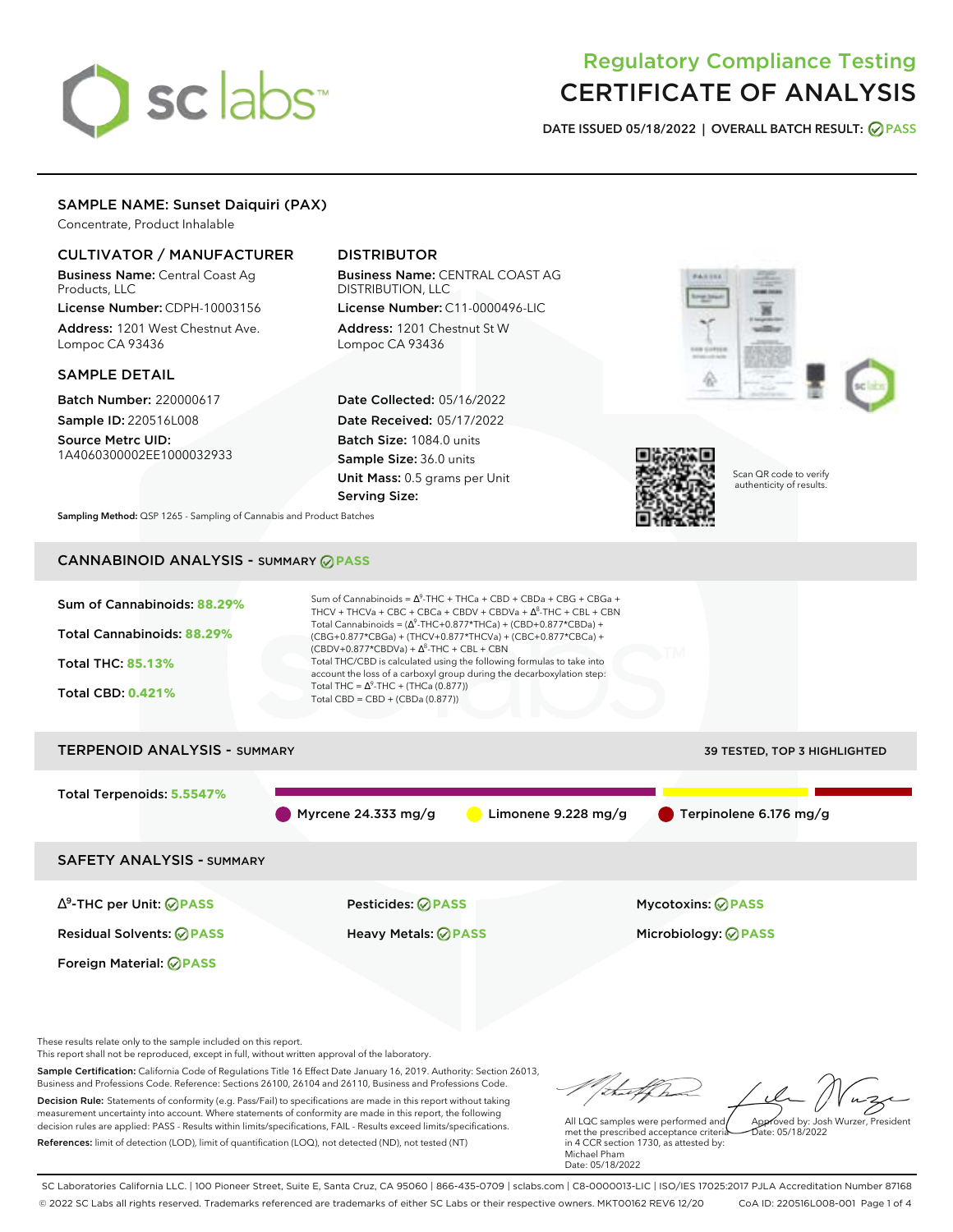# sclabs<sup>\*</sup>

# Regulatory Compliance Testing CERTIFICATE OF ANALYSIS

**DATE ISSUED 05/18/2022 | OVERALL BATCH RESULT: PASS**

# SAMPLE NAME: Sunset Daiquiri (PAX)

Concentrate, Product Inhalable

# CULTIVATOR / MANUFACTURER

Business Name: Central Coast Ag Products, LLC

License Number: CDPH-10003156 Address: 1201 West Chestnut Ave. Lompoc CA 93436

# SAMPLE DETAIL

Batch Number: 220000617 Sample ID: 220516L008

Source Metrc UID: 1A4060300002EE1000032933

# DISTRIBUTOR

Business Name: CENTRAL COAST AG DISTRIBUTION, LLC License Number: C11-0000496-LIC

Address: 1201 Chestnut St W Lompoc CA 93436

Date Collected: 05/16/2022 Date Received: 05/17/2022 Batch Size: 1084.0 units Sample Size: 36.0 units Unit Mass: 0.5 grams per Unit Serving Size:





Scan QR code to verify authenticity of results.

**Sampling Method:** QSP 1265 - Sampling of Cannabis and Product Batches

# CANNABINOID ANALYSIS - SUMMARY **PASS**

| Sum of Cannabinoids: 88.29%<br>Total Cannabinoids: 88.29%<br><b>Total THC: 85.13%</b><br><b>Total CBD: 0.421%</b> | Sum of Cannabinoids = $\Lambda^9$ -THC + THCa + CBD + CBDa + CBG + CBGa +<br>THCV + THCVa + CBC + CBCa + CBDV + CBDVa + $\Delta^8$ -THC + CBL + CBN<br>Total Cannabinoids = $(\Delta^9$ -THC+0.877*THCa) + (CBD+0.877*CBDa) +<br>(CBG+0.877*CBGa) + (THCV+0.877*THCVa) + (CBC+0.877*CBCa) +<br>$(CBDV+0.877*CBDVa) + \Delta^8$ -THC + CBL + CBN<br>Total THC/CBD is calculated using the following formulas to take into<br>account the loss of a carboxyl group during the decarboxylation step:<br>Total THC = $\Delta^9$ -THC + (THCa (0.877))<br>Total CBD = CBD + (CBDa (0.877)) |                                     |
|-------------------------------------------------------------------------------------------------------------------|---------------------------------------------------------------------------------------------------------------------------------------------------------------------------------------------------------------------------------------------------------------------------------------------------------------------------------------------------------------------------------------------------------------------------------------------------------------------------------------------------------------------------------------------------------------------------------------|-------------------------------------|
| <b>TERPENOID ANALYSIS - SUMMARY</b>                                                                               |                                                                                                                                                                                                                                                                                                                                                                                                                                                                                                                                                                                       | <b>39 TESTED, TOP 3 HIGHLIGHTED</b> |
| Total Terpenoids: 5.5547%                                                                                         | Myrcene 24.333 mg/g<br>Limonene 9.228 mg/g                                                                                                                                                                                                                                                                                                                                                                                                                                                                                                                                            | Terpinolene 6.176 mg/g              |
| <b>SAFETY ANALYSIS - SUMMARY</b>                                                                                  |                                                                                                                                                                                                                                                                                                                                                                                                                                                                                                                                                                                       |                                     |

∆ 9 -THC per Unit: **PASS** Pesticides: **PASS** Mycotoxins: **PASS**

Foreign Material: **PASS**

Residual Solvents: **PASS** Heavy Metals: **PASS** Microbiology: **PASS**

These results relate only to the sample included on this report.

This report shall not be reproduced, except in full, without written approval of the laboratory.

Sample Certification: California Code of Regulations Title 16 Effect Date January 16, 2019. Authority: Section 26013, Business and Professions Code. Reference: Sections 26100, 26104 and 26110, Business and Professions Code. Decision Rule: Statements of conformity (e.g. Pass/Fail) to specifications are made in this report without taking measurement uncertainty into account. Where statements of conformity are made in this report, the following decision rules are applied: PASS - Results within limits/specifications, FAIL - Results exceed limits/specifications.

References: limit of detection (LOD), limit of quantification (LOQ), not detected (ND), not tested (NT)

tal fCh Approved by: Josh Wurzer, President

Date: 05/18/2022

All LQC samples were performed and met the prescribed acceptance criteria in 4 CCR section 1730, as attested by: Michael Pham Date: 05/18/2022

SC Laboratories California LLC. | 100 Pioneer Street, Suite E, Santa Cruz, CA 95060 | 866-435-0709 | sclabs.com | C8-0000013-LIC | ISO/IES 17025:2017 PJLA Accreditation Number 87168 © 2022 SC Labs all rights reserved. Trademarks referenced are trademarks of either SC Labs or their respective owners. MKT00162 REV6 12/20 CoA ID: 220516L008-001 Page 1 of 4